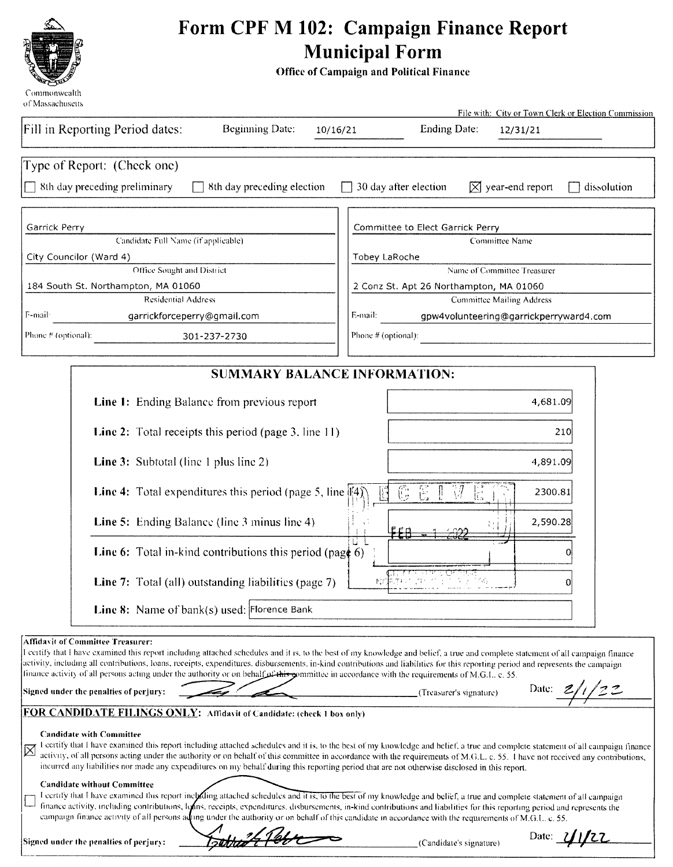

# Form CPF M 102: Campaign Finance Report Municipal Form

Office of Campaign and Political Finance

| Of Massachuscus                                                                                                                                                                                                                                                                                                                                                                                                                                                                                                                                                    | File with: City or Town Clerk or Election Commission                                                                                                                                                                                                                                                                                                               |
|--------------------------------------------------------------------------------------------------------------------------------------------------------------------------------------------------------------------------------------------------------------------------------------------------------------------------------------------------------------------------------------------------------------------------------------------------------------------------------------------------------------------------------------------------------------------|--------------------------------------------------------------------------------------------------------------------------------------------------------------------------------------------------------------------------------------------------------------------------------------------------------------------------------------------------------------------|
| Fill in Reporting Period dates:<br><b>Beginning Date:</b><br>10/16/21                                                                                                                                                                                                                                                                                                                                                                                                                                                                                              | Ending Date:<br>12/31/21                                                                                                                                                                                                                                                                                                                                           |
| Type of Report: (Check one)                                                                                                                                                                                                                                                                                                                                                                                                                                                                                                                                        |                                                                                                                                                                                                                                                                                                                                                                    |
| 8th day preceding preliminary<br>8th day preceding election                                                                                                                                                                                                                                                                                                                                                                                                                                                                                                        | 30 day after election<br>$\boxtimes$ year-end report<br>dissolution                                                                                                                                                                                                                                                                                                |
| Garrick Perry                                                                                                                                                                                                                                                                                                                                                                                                                                                                                                                                                      | Committee to Elect Garrick Perry                                                                                                                                                                                                                                                                                                                                   |
| Candidate Full Name (if applicable)                                                                                                                                                                                                                                                                                                                                                                                                                                                                                                                                | Committee Name                                                                                                                                                                                                                                                                                                                                                     |
| City Councilor (Ward 4)<br>Office Sought and District                                                                                                                                                                                                                                                                                                                                                                                                                                                                                                              | Tobey LaRoche<br>Name of Committee Treasurer                                                                                                                                                                                                                                                                                                                       |
| 184 South St. Northampton, MA 01060                                                                                                                                                                                                                                                                                                                                                                                                                                                                                                                                | 2 Conz St. Apt 26 Northampton, MA 01060                                                                                                                                                                                                                                                                                                                            |
| <b>Residential Address</b>                                                                                                                                                                                                                                                                                                                                                                                                                                                                                                                                         | <b>Committee Mailing Address</b>                                                                                                                                                                                                                                                                                                                                   |
| F-mail:<br>garrickforceperry@gmail.com                                                                                                                                                                                                                                                                                                                                                                                                                                                                                                                             | E-mail:<br>gpw4volunteering@garrickperryward4.com                                                                                                                                                                                                                                                                                                                  |
| Phone # (optional):<br>301-237-2730                                                                                                                                                                                                                                                                                                                                                                                                                                                                                                                                | Phone # (optional):                                                                                                                                                                                                                                                                                                                                                |
| <b>SUMMARY BALANCE INFORMATION:</b>                                                                                                                                                                                                                                                                                                                                                                                                                                                                                                                                |                                                                                                                                                                                                                                                                                                                                                                    |
| <b>Line 1:</b> Ending Balance from previous report                                                                                                                                                                                                                                                                                                                                                                                                                                                                                                                 | 4,681.09                                                                                                                                                                                                                                                                                                                                                           |
| <b>Line 2:</b> Total receipts this period (page 3, line 11)                                                                                                                                                                                                                                                                                                                                                                                                                                                                                                        | 210                                                                                                                                                                                                                                                                                                                                                                |
| <b>Line 3:</b> Subtotal (line 1 plus line 2)                                                                                                                                                                                                                                                                                                                                                                                                                                                                                                                       | 4,891.09                                                                                                                                                                                                                                                                                                                                                           |
| <b>Line 4:</b> Total expenditures this period (page 5, line   4]                                                                                                                                                                                                                                                                                                                                                                                                                                                                                                   | $\mathbb{E}$<br>6<br>37<br>E<br>2300.81                                                                                                                                                                                                                                                                                                                            |
| Line 5: Ending Balance (line 3 minus line 4)                                                                                                                                                                                                                                                                                                                                                                                                                                                                                                                       | 2,590.28                                                                                                                                                                                                                                                                                                                                                           |
| <b>Line 6:</b> Total in-kind contributions this period (page 6)                                                                                                                                                                                                                                                                                                                                                                                                                                                                                                    |                                                                                                                                                                                                                                                                                                                                                                    |
| <b>Line 7:</b> Total (all) outstanding liabilities (page 7)                                                                                                                                                                                                                                                                                                                                                                                                                                                                                                        | 0                                                                                                                                                                                                                                                                                                                                                                  |
| <b>Line 8:</b> Name of $bank(s)$ used: Florence Bank                                                                                                                                                                                                                                                                                                                                                                                                                                                                                                               |                                                                                                                                                                                                                                                                                                                                                                    |
| <b>Affidavit of Committee Treasurer:</b><br>I certify that I have examined this report including attached schedules and it is, to the best of my knowledge and belief, a true and complete statement of all campaign finance<br>activity, including all contributions, loans, receipts, expenditures, disbursements, in-kind contributions and liabilities for this reporting period and represents the campaign<br>finance activity of all persons acting under the authority or on behalf of this committee in accordance with the requirements of M.G.L. c. 55. |                                                                                                                                                                                                                                                                                                                                                                    |
| Signed under the penalties of perjury:                                                                                                                                                                                                                                                                                                                                                                                                                                                                                                                             | Date: $Z_i$<br>(Treasurer's signature)                                                                                                                                                                                                                                                                                                                             |
| FOR CANDIDATE FILINGS ONLY: Affidavit of Candidate: (check 1 box only)                                                                                                                                                                                                                                                                                                                                                                                                                                                                                             |                                                                                                                                                                                                                                                                                                                                                                    |
| <b>Candidate with Committee</b><br>incurred any liabilities nor made any expenditures on my behalf during this reporting period that are not otherwise disclosed in this report.                                                                                                                                                                                                                                                                                                                                                                                   | I certify that I have examined this report including attached schedules and it is, to the best of my knowledge and belief, a true and complete statement of all campaign finance<br>activity, of all persons acting under the authority or on behalf of this committee in accordance with the requirements of M.G.L. c. 55. I have not received any contributions, |
| <b>Candidate without Committee</b><br>I certify that I have examined this report including attached schedules and it is, to the best of my knowledge and belief, a true and complete statement of all campaign<br>finance activity, including contributions, loons, receipts, expenditures, disbursements, in-kind contributions and liabilities for this reporting period and represents the<br>campaign finance activity of all persons ading under the authority or on behalf of this candidate in accordance with the requirements of M.G.L. c. 55.            |                                                                                                                                                                                                                                                                                                                                                                    |
| Signed under the penalties of perjury:                                                                                                                                                                                                                                                                                                                                                                                                                                                                                                                             | Date: 11/22<br>(Candidate's signature)                                                                                                                                                                                                                                                                                                                             |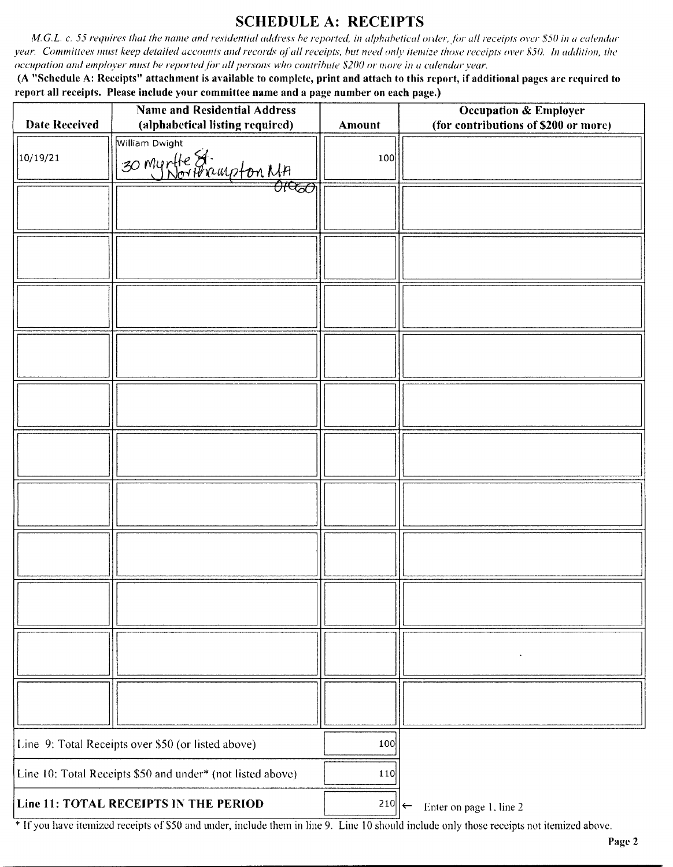### SCHEDULE A: RECEIPTS

M.G.L. c. 55 requires that the name and residential address be reported, in alphabetical order, for all receipts over \$50 in a calendar year. Committees must keep detailed accounts and records of all receipts, but need only itemize those receipts over \$50. In addition, the occupation and employer must he reported for all persons who contribute\$ 200 or more in a calendar year.

A " Schedule A: Receipts" attachment is available to complete, print and attach to this report, if additional pages are required to report all receipts. Please include your committee name and <sup>a</sup> page number on each page.)

| <b>Date Received</b>                                       | <b>Name and Residential Address</b><br>(alphabetical listing required) | Amount               | <b>Occupation &amp; Employer</b><br>(for contributions of \$200 or more) |
|------------------------------------------------------------|------------------------------------------------------------------------|----------------------|--------------------------------------------------------------------------|
|                                                            | William Dwight                                                         |                      |                                                                          |
| 10/19/21                                                   | villiam Dwigin<br>30 Muntle St.<br>01000 Morthampton MA                | 100                  |                                                                          |
|                                                            |                                                                        |                      |                                                                          |
|                                                            |                                                                        |                      |                                                                          |
|                                                            |                                                                        |                      |                                                                          |
|                                                            |                                                                        |                      |                                                                          |
|                                                            |                                                                        |                      |                                                                          |
|                                                            |                                                                        |                      |                                                                          |
|                                                            |                                                                        |                      |                                                                          |
|                                                            |                                                                        |                      |                                                                          |
|                                                            |                                                                        |                      |                                                                          |
|                                                            |                                                                        |                      |                                                                          |
|                                                            |                                                                        |                      |                                                                          |
|                                                            |                                                                        |                      |                                                                          |
|                                                            | Line 9: Total Receipts over \$50 (or listed above)                     | 100                  |                                                                          |
| Line 10: Total Receipts \$50 and under* (not listed above) |                                                                        | 110                  |                                                                          |
|                                                            | Line 11: TOTAL RECEIPTS IN THE PERIOD                                  | $210$   $\leftarrow$ | Enter on page 1, line 2                                                  |

If you have itemized receipts of S50 and under, include them in line 9. Line <sup>10</sup> should include only those receipts not itemized above.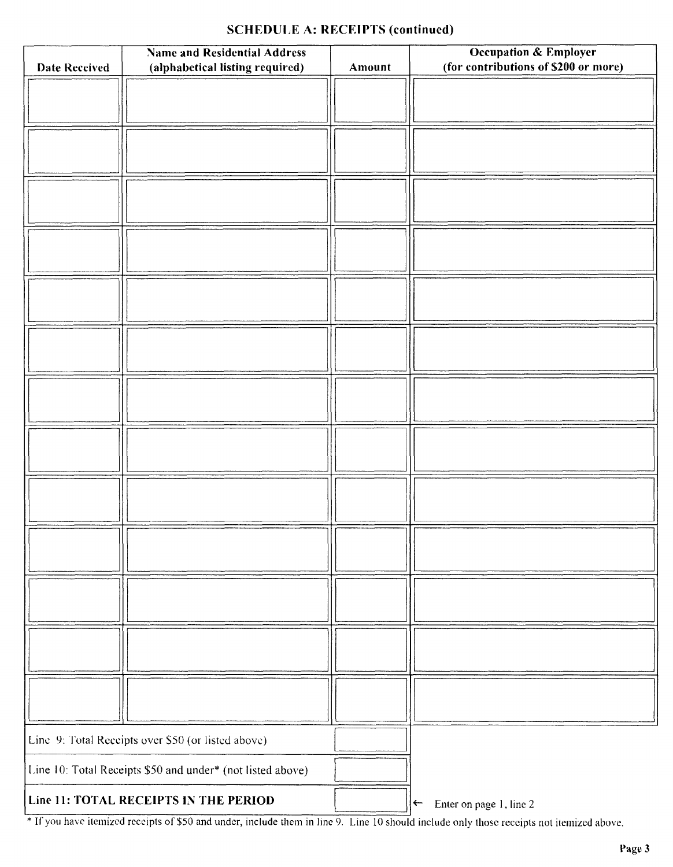### SCHEDULE A: RECEIPTS (continued)

|                      | <b>Name and Residential Address</b>                        |        | <b>Occupation &amp; Employer</b><br>(for contributions of \$200 or more) |
|----------------------|------------------------------------------------------------|--------|--------------------------------------------------------------------------|
| <b>Date Received</b> | (alphabetical listing required)                            | Amount |                                                                          |
|                      |                                                            |        |                                                                          |
|                      |                                                            |        |                                                                          |
|                      |                                                            |        |                                                                          |
|                      |                                                            |        |                                                                          |
|                      |                                                            |        |                                                                          |
|                      |                                                            |        |                                                                          |
|                      |                                                            |        |                                                                          |
|                      |                                                            |        |                                                                          |
|                      |                                                            |        |                                                                          |
|                      |                                                            |        |                                                                          |
|                      |                                                            |        |                                                                          |
|                      |                                                            |        |                                                                          |
|                      |                                                            |        |                                                                          |
|                      |                                                            |        |                                                                          |
|                      |                                                            |        |                                                                          |
|                      |                                                            |        |                                                                          |
|                      |                                                            |        |                                                                          |
|                      |                                                            |        |                                                                          |
|                      |                                                            |        |                                                                          |
|                      |                                                            |        |                                                                          |
|                      |                                                            |        |                                                                          |
|                      |                                                            |        |                                                                          |
|                      |                                                            |        |                                                                          |
|                      |                                                            |        |                                                                          |
|                      |                                                            |        |                                                                          |
|                      |                                                            |        |                                                                          |
|                      |                                                            |        |                                                                          |
|                      | Line 9: Total Receipts over \$50 (or listed above)         |        |                                                                          |
|                      | Line 10: Total Receipts \$50 and under* (not listed above) |        |                                                                          |
|                      | Line 11: TOTAL RECEIPTS IN THE PERIOD                      |        | $\leftarrow$                                                             |
|                      |                                                            |        | Enter on page 1, line 2                                                  |

If you have itemized receipts of \$50 and under, include them in line 9. Line 10 should include only those receipts not itemized above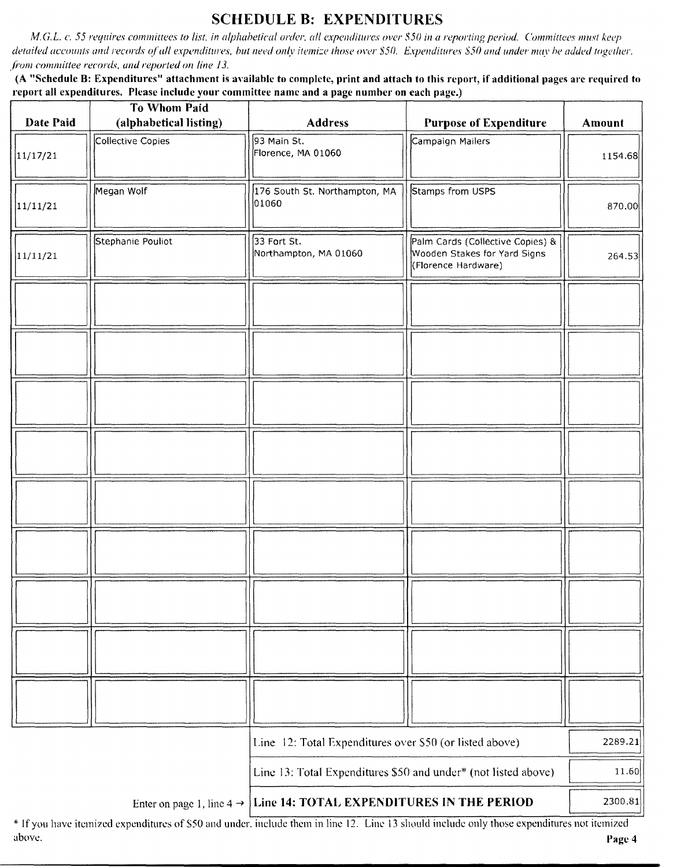## SCHEDULE B: EXPENDITURES

M.G.L. c. 55 requires committees to list, in alphabetical order, all expenditures over \$50 in a reporting period. Committees must keep detailed accounts and records of all expenditures, but need only itemize those over \$50. Expenditures \$50 and under may be added together. from committee records, and reported on line 13.

A " Schedule B: Expenditures" attachment is available to complete, print and attach to this report, if additional pages arc required to report all expenditures. Please include your committee name and a page number on each page.)

| Date Paid | <b>To Whom Paid</b><br>(alphabetical listing)                                      | <b>Address</b>                                                 | <b>Purpose of Expenditure</b>                                                           | Amount  |
|-----------|------------------------------------------------------------------------------------|----------------------------------------------------------------|-----------------------------------------------------------------------------------------|---------|
| 11/17/21  | Collective Copies                                                                  | 93 Main St.<br>Florence, MA 01060                              | Campaign Mailers                                                                        | 1154.68 |
| 11/11/21  | Megan Wolf                                                                         | 176 South St. Northampton, MA<br>01060                         | Stamps from USPS                                                                        | 870.00  |
| 11/11/21  | Stephanie Pouliot                                                                  | 33 Fort St.<br>Northampton, MA 01060                           | Palm Cards (Collective Copies) &<br>Wooden Stakes for Yard Signs<br>(Florence Hardware) | 264.53  |
|           |                                                                                    |                                                                |                                                                                         |         |
|           |                                                                                    |                                                                |                                                                                         |         |
|           |                                                                                    |                                                                |                                                                                         |         |
|           |                                                                                    |                                                                |                                                                                         |         |
|           |                                                                                    |                                                                |                                                                                         |         |
|           |                                                                                    |                                                                |                                                                                         |         |
|           |                                                                                    |                                                                |                                                                                         |         |
|           |                                                                                    |                                                                |                                                                                         |         |
|           |                                                                                    |                                                                |                                                                                         |         |
|           |                                                                                    | Line 12: Total Expenditures over \$50 (or listed above)        |                                                                                         | 2289.21 |
|           |                                                                                    | Line 13: Total Expenditures \$50 and under* (not listed above) |                                                                                         | 11.60   |
|           | Line 14: TOTAL EXPENDITURES IN THE PERIOD<br>Enter on page 1, line $4 \rightarrow$ |                                                                |                                                                                         | 2300.81 |

If you have itemized expenditures of \$50 and under, include them in line 12. Line 13 should include only those expenditures not itemize above. **Page 4** above a structure of the structure of the structure of the structure of the structure of the structure of the structure of the structure of the structure of the structure of the structure of the structure o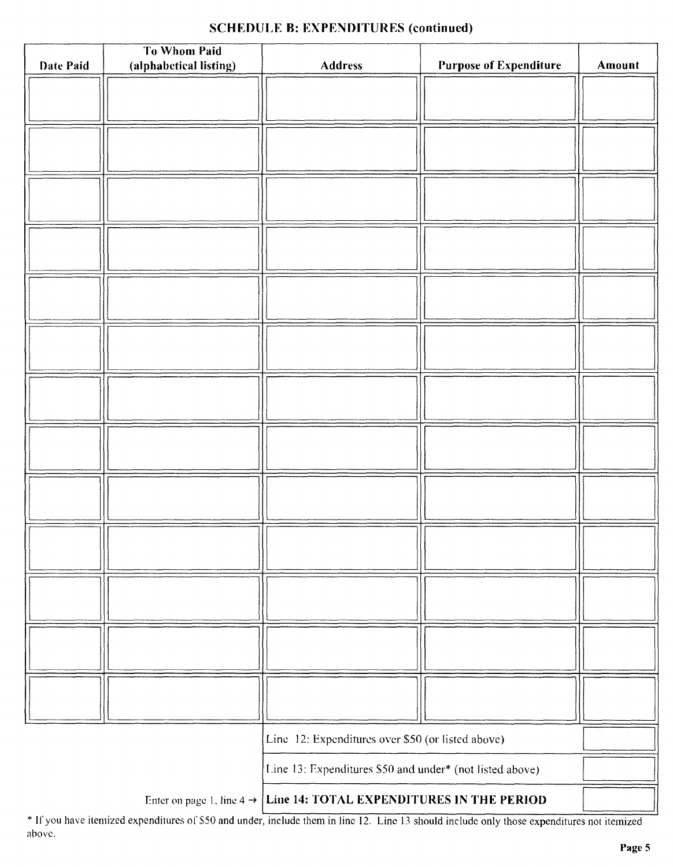### SCHEDULE B: EXPENDITURES (continued)

| <b>Date Paid</b>                                                                | To Whom Paid<br>(alphabetical listing) | <b>Address</b>                                           | <b>Purpose of Expenditure</b> | Amount |
|---------------------------------------------------------------------------------|----------------------------------------|----------------------------------------------------------|-------------------------------|--------|
|                                                                                 |                                        |                                                          |                               |        |
|                                                                                 |                                        |                                                          |                               |        |
|                                                                                 |                                        |                                                          |                               |        |
|                                                                                 |                                        |                                                          |                               |        |
|                                                                                 |                                        |                                                          |                               |        |
|                                                                                 |                                        |                                                          |                               |        |
|                                                                                 |                                        |                                                          |                               |        |
|                                                                                 |                                        |                                                          |                               |        |
|                                                                                 |                                        |                                                          |                               |        |
|                                                                                 |                                        |                                                          |                               |        |
|                                                                                 |                                        |                                                          |                               |        |
|                                                                                 |                                        |                                                          |                               |        |
|                                                                                 |                                        |                                                          |                               |        |
|                                                                                 |                                        |                                                          |                               |        |
|                                                                                 |                                        |                                                          |                               |        |
|                                                                                 |                                        |                                                          |                               |        |
|                                                                                 |                                        |                                                          |                               |        |
|                                                                                 |                                        |                                                          |                               |        |
|                                                                                 |                                        |                                                          |                               |        |
|                                                                                 |                                        |                                                          |                               |        |
|                                                                                 |                                        |                                                          |                               |        |
|                                                                                 |                                        |                                                          |                               |        |
|                                                                                 |                                        |                                                          |                               |        |
|                                                                                 |                                        |                                                          |                               |        |
|                                                                                 |                                        |                                                          |                               |        |
|                                                                                 |                                        |                                                          |                               |        |
|                                                                                 |                                        |                                                          |                               |        |
|                                                                                 |                                        |                                                          |                               |        |
| Line 12: Expenditures over \$50 (or listed above)                               |                                        |                                                          |                               |        |
|                                                                                 |                                        |                                                          |                               |        |
|                                                                                 |                                        | Line 13: Expenditures \$50 and under* (not listed above) |                               |        |
| Enter on page 1, line $4 \rightarrow$ Line 14: TOTAL EXPENDITURES IN THE PERIOD |                                        |                                                          |                               |        |

\* If you have itemized expenditures of \$50 and under, include them in line 12. Line 13 should include only those expenditures not itemized above.

-1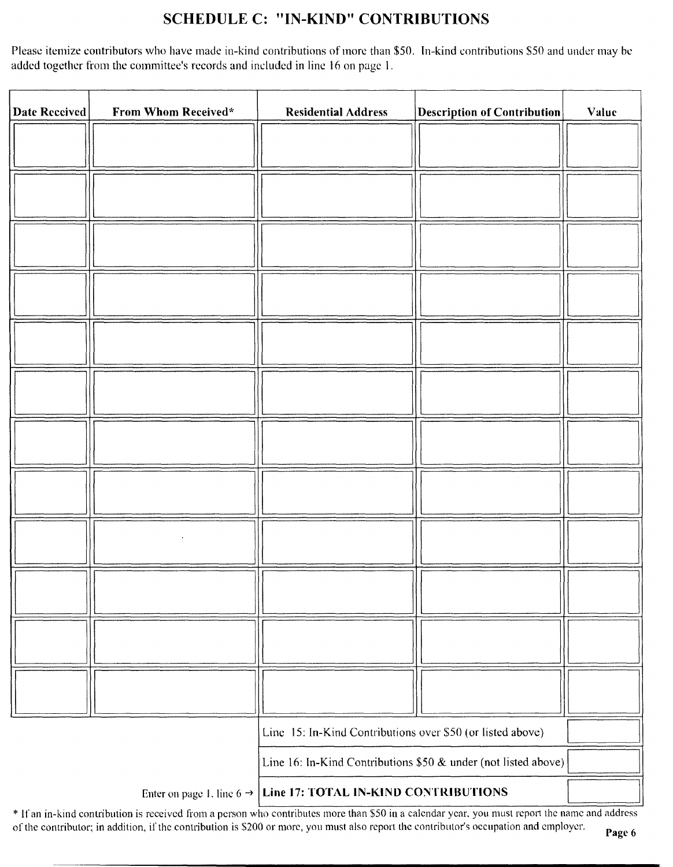## SCHEDULE C: "IN-KIND" CONTRIBUTIONS

Please itemize contributors who have made in-kind contributions of more than \$50. In-kind contributions \$50 and under may be added together from the committee's records and included in line 16 on page 1.

| Date Received | From Whom Received*                                            | <b>Residential Address</b>                                 | <b>Description of Contribution</b> | Value |
|---------------|----------------------------------------------------------------|------------------------------------------------------------|------------------------------------|-------|
|               |                                                                |                                                            |                                    |       |
|               |                                                                |                                                            |                                    |       |
|               |                                                                |                                                            |                                    |       |
|               |                                                                |                                                            |                                    |       |
|               |                                                                |                                                            |                                    |       |
|               |                                                                |                                                            |                                    |       |
|               |                                                                |                                                            |                                    |       |
|               |                                                                |                                                            |                                    |       |
|               |                                                                |                                                            |                                    |       |
|               |                                                                |                                                            |                                    |       |
|               |                                                                |                                                            |                                    |       |
|               |                                                                |                                                            |                                    |       |
|               |                                                                |                                                            |                                    |       |
|               |                                                                | Line 15: In-Kind Contributions over \$50 (or listed above) |                                    |       |
|               | Line 16: In-Kind Contributions \$50 & under (not listed above) |                                                            |                                    |       |

Enter on page 1. line  $6 \rightarrow$  Line 17: TOTAL IN-KIND CONTRIBUTIONS

If an in- kind contribution is received from <sup>a</sup> person who contributes more than\$ <sup>50</sup> in <sup>a</sup> calendar year. you must report the name and address of the contributor; in addition, if the contribution is \$200 or more, you must also report the contributor's occupation and employer.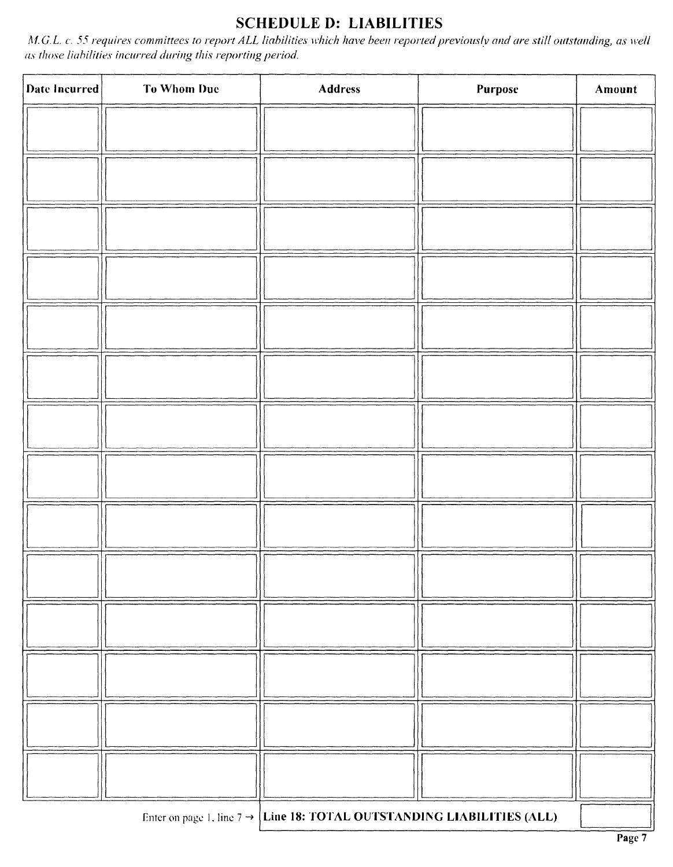## SCHEDULE D: LIABILITIES

M.G.L. c. 55 requires committees to report ALL liabilities which have been reported previously and are still outstanding, as well as those liabilities incurred during this reporting period.

| Date Incurred                                                                      | <b>To Whom Due</b> | <b>Address</b> | Purpose | Amount |
|------------------------------------------------------------------------------------|--------------------|----------------|---------|--------|
|                                                                                    |                    |                |         |        |
|                                                                                    |                    |                |         |        |
|                                                                                    |                    |                |         |        |
|                                                                                    |                    |                |         |        |
|                                                                                    |                    |                |         |        |
|                                                                                    |                    |                |         |        |
|                                                                                    |                    |                |         |        |
|                                                                                    |                    |                |         |        |
|                                                                                    |                    |                |         |        |
|                                                                                    |                    |                |         |        |
|                                                                                    |                    |                |         |        |
|                                                                                    |                    |                |         |        |
|                                                                                    |                    |                |         |        |
|                                                                                    |                    |                |         |        |
| Enter on page 1, line $7 \rightarrow$ Line 18: TOTAL OUTSTANDING LIABILITIES (ALL) |                    |                |         |        |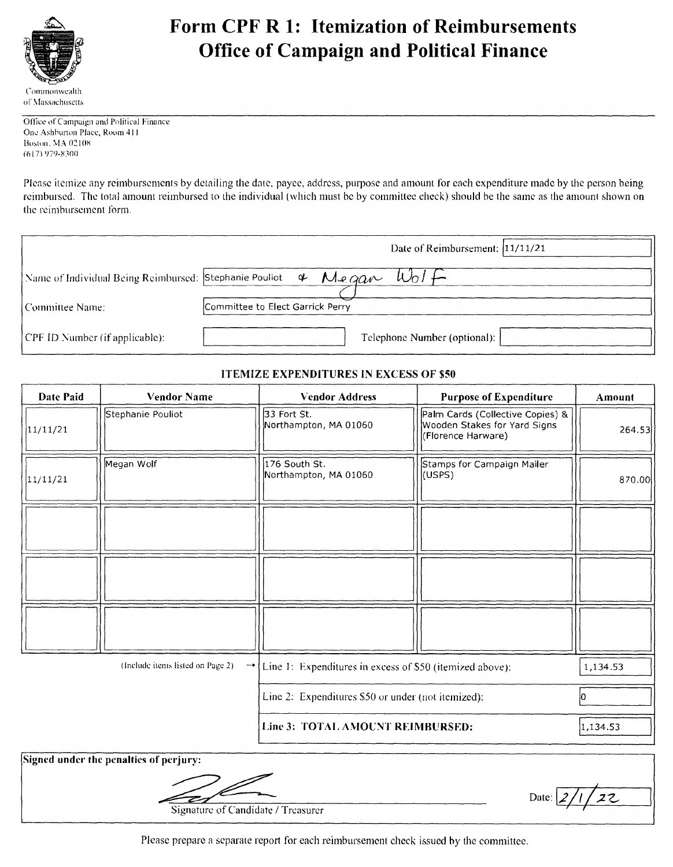

# Form CPF R 1: Itemization of Reimbursements Office of Campaign and Political Finance

Office of Campaign and Political Finance One Ashburton Place, Room 411 Boston, MA 02108 61 7) 979- 8700

Please itemize any reimbursements by detailing the date, payee, address, purpose and amount for each expenditure made by the person being reimbursed. The total amount reimbursed to the individual ( which must he by committee check) should he the same as the amount shown on the reimbursement form.

|                                | Date of Reimbursement: 11/11/21                                                  |
|--------------------------------|----------------------------------------------------------------------------------|
|                                | Name of Individual Being Reimbursed: Stephanie Pouliot $\phi$ Measure<br>$W_0 +$ |
| l Committee Name:              | Committee to Elect Garrick Perry                                                 |
|                                |                                                                                  |
| CPF ID Number (if applicable): | Telephone Number (optional):                                                     |

#### ITEMIZE EXPENDITURES IN EXCESS OF \$50

| Date Paid | <b>Vendor Name</b>                                    | <b>Vendor Address</b>                                    | <b>Purpose of Expenditure</b>                                                          | Amount   |
|-----------|-------------------------------------------------------|----------------------------------------------------------|----------------------------------------------------------------------------------------|----------|
| 11/11/21  | Stephanie Pouliot                                     | 33 Fort St.<br>Northampton, MA 01060                     | Palm Cards (Collective Copies) &<br>Wooden Stakes for Yard Signs<br>(Florence Harware) | 264.53   |
| 11/11/21  | Megan Wolf                                            | 176 South St.<br>Northampton, MA 01060                   | Stamps for Campaign Mailer<br>(USPS)                                                   | 870.00   |
|           |                                                       |                                                          |                                                                                        |          |
|           |                                                       |                                                          |                                                                                        |          |
|           |                                                       |                                                          |                                                                                        |          |
|           | (Include items listed on Page 2)<br>$\dashrightarrow$ | Line 1: Expenditures in excess of \$50 (itemized above): |                                                                                        | 1,134.53 |
|           |                                                       | Line 2: Expenditures \$50 or under (not itemized):       |                                                                                        | Ю        |
|           |                                                       | Line 3: TOTAL AMOUNT REIMBURSED:                         |                                                                                        | 1,134.53 |
|           | Signad under the negative of newigant                 |                                                          |                                                                                        |          |

igned under

Signature of Candidate/ Treasurer

Please prepare <sup>a</sup> separate report for each reimbursement check issued by the committee.

Date:  $2/1/22$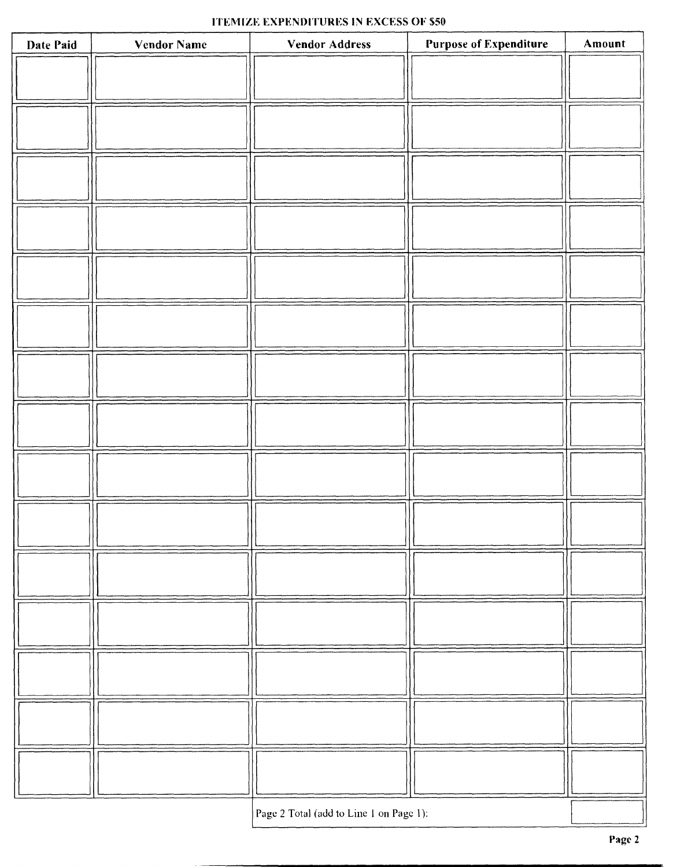### ITEMIZE EXPENDITURES IN EXCESS OF \$50

| Date Paid | <b>Vendor Name</b> | <b>Vendor Address</b>                   | <b>Purpose of Expenditure</b> | Amount |
|-----------|--------------------|-----------------------------------------|-------------------------------|--------|
|           |                    |                                         |                               |        |
|           |                    |                                         |                               |        |
|           |                    |                                         |                               |        |
|           |                    |                                         |                               |        |
|           |                    |                                         |                               |        |
|           |                    |                                         |                               |        |
|           |                    |                                         |                               |        |
|           |                    |                                         |                               |        |
|           |                    |                                         |                               |        |
|           |                    |                                         |                               |        |
|           |                    |                                         |                               |        |
|           |                    |                                         |                               |        |
|           |                    |                                         |                               |        |
|           |                    |                                         |                               |        |
|           |                    |                                         |                               |        |
|           |                    |                                         |                               |        |
|           |                    |                                         |                               |        |
|           |                    |                                         |                               |        |
|           |                    |                                         |                               |        |
|           |                    |                                         |                               |        |
|           |                    |                                         |                               |        |
|           |                    |                                         |                               |        |
|           |                    |                                         |                               |        |
|           |                    |                                         |                               |        |
|           |                    |                                         |                               |        |
|           |                    |                                         |                               |        |
|           |                    | Page 2 Total (add to Line 1 on Page 1): |                               |        |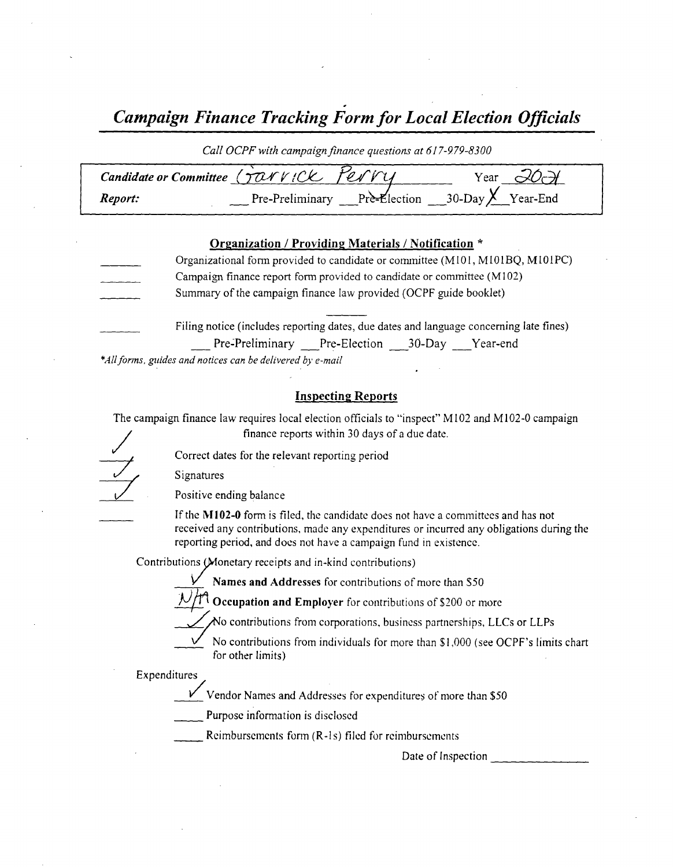Campaign Finance Tracking Form for Local Election Officials

Call OCPF with campaign finance questions at 617-979-8300

| Candidate or Committee (TONVICK PENVY |  | Year                                           |
|---------------------------------------|--|------------------------------------------------|
| Report:                               |  | Pre-Preliminary Pre-Election 30-Day Y Year-End |

#### Organization / Providing Materials/ Notification \*

Organizational form provided to candidate or committee (M101, M101BQ, M101PC) Campaign finance report form provided to candidate or committee( M102) Summary of the campaign finance law provided( OCPF guide booklet) Filing notice (includes reporting dates, due dates and language concerning late fines)

Pre-Preliminary Pre-Election 30-Day Year-end

\*All forms, guides and notices can be delivered by e-mail

#### Inspecting Reports

The campaign finance law requires local election officials to "inspect" M102 and M102-0 campaign finance reports within 30 days of <sup>a</sup> due date.

Correct dates for the relevant reporting period

Signatures

Positive ending balance

If the M102-0 form is filed, the candidate does not have a committees and has not received any contributions, made any expenditures or incurred any obligations during the reporting period, and does not have a campaign fund in existence.

Contributions (Monetary receipts and in-kind contributions)

Names and Addresses for contributions of more than \$50

 $/$  Occupation and Employer for contributions of \$200 or more

 $\overline{\mathcal{M}}$  contributions from corporations, business partnerships, LLCs or LLPs

No contributions from individuals for more than \$1,000 (see OCPF's limits chart for other limits)

Expenditures/

 $V$  Vendor Names and Addresses for expenditures of more than \$50

Purpose information is disclosed

Reimbursements form (R-1s) filed for reimbursements

Date of Inspection